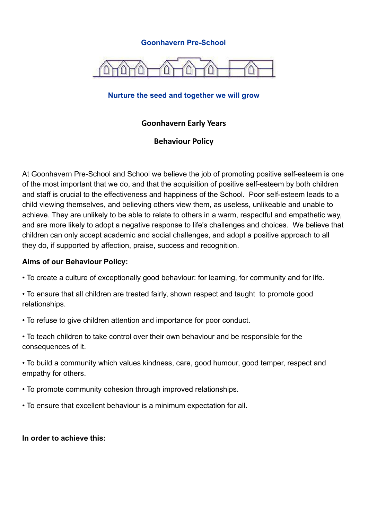### **Goonhavern Pre-School**



### **Nurture the seed and together we will grow**

## **Goonhavern Early Years**

## **Behaviour Policy**

At Goonhavern Pre-School and School we believe the job of promoting positive self-esteem is one of the most important that we do, and that the acquisition of positive self-esteem by both children and staff is crucial to the effectiveness and happiness of the School. Poor self-esteem leads to a child viewing themselves, and believing others view them, as useless, unlikeable and unable to achieve. They are unlikely to be able to relate to others in a warm, respectful and empathetic way, and are more likely to adopt a negative response to life's challenges and choices. We believe that children can only accept academic and social challenges, and adopt a positive approach to all they do, if supported by affection, praise, success and recognition.

#### **Aims of our Behaviour Policy:**

- To create a culture of exceptionally good behaviour: for learning, for community and for life.
- To ensure that all children are treated fairly, shown respect and taught to promote good relationships.
- To refuse to give children attention and importance for poor conduct.
- To teach children to take control over their own behaviour and be responsible for the consequences of it.
- To build a community which values kindness, care, good humour, good temper, respect and empathy for others.
- To promote community cohesion through improved relationships.
- To ensure that excellent behaviour is a minimum expectation for all.

#### **In order to achieve this:**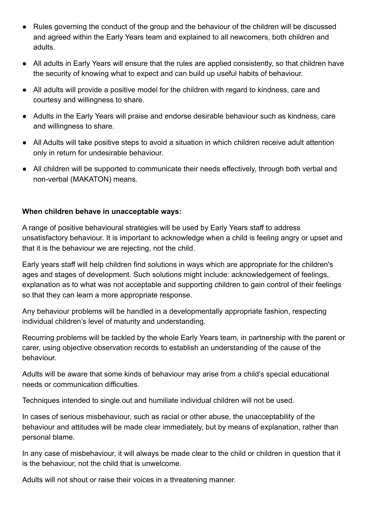- Rules governing the conduct of the group and the behaviour of the children will be discussed and agreed within the Early Years team and explained to all newcomers, both children and adults.
- All adults in Early Years will ensure that the rules are applied consistently, so that children have the security of knowing what to expect and can build up useful habits of behaviour.
- All adults will provide a positive model for the children with regard to kindness, care and courtesy and willingness to share.
- Adults in the Early Years will praise and endorse desirable behaviour such as kindness, care and willingness to share.
- All Adults will take positive steps to avoid a situation in which children receive adult attention only in return for undesirable behaviour.
- All children will be supported to communicate their needs effectively, through both verbal and non-verbal (MAKATON) means.

## **When children behave in unacceptable ways:**

A range of positive behavioural strategies will be used by Early Years staff to address unsatisfactory behaviour. It is important to acknowledge when a child is feeling angry or upset and that it is the behaviour we are rejecting, not the child.

Early years staff will help children find solutions in ways which are appropriate for the children's ages and stages of development. Such solutions might include: acknowledgement of feelings, explanation as to what was not acceptable and supporting children to gain control of their feelings so that they can learn a more appropriate response.

Any behaviour problems will be handled in a developmentally appropriate fashion, respecting individual children's level of maturity and understanding.

Recurring problems will be tackled by the whole Early Years team, in partnership with the parent or carer, using objective observation records to establish an understanding of the cause of the behaviour.

Adults will be aware that some kinds of behaviour may arise from a child's special educational needs or communication difficulties.

Techniques intended to single out and humiliate individual children will not be used.

In cases of serious misbehaviour, such as racial or other abuse, the unacceptability of the behaviour and attitudes will be made clear immediately, but by means of explanation, rather than personal blame.

In any case of misbehaviour, it will always be made clear to the child or children in question that it is the behaviour, not the child that is unwelcome.

Adults will not shout or raise their voices in a threatening manner.